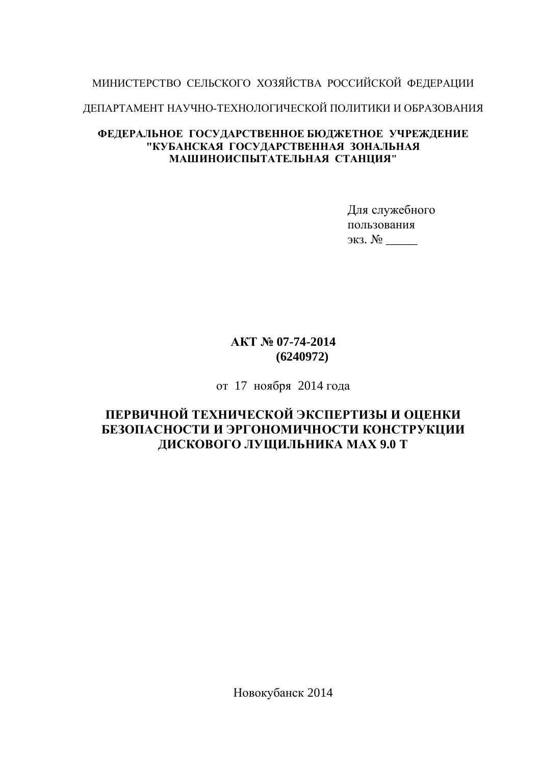## МИНИСТЕРСТВО СЕЛЬСКОГО ХОЗЯЙСТВА РОССИЙСКОЙ ФЕДЕРАЦИИ

ДЕПАРТАМЕНТ НАУЧНО-ТЕХНОЛОГИЧЕСКОЙ ПОЛИТИКИ И ОБРАЗОВАНИЯ

#### **ФЕДЕРАЛЬНОЕ ГОСУДАРСТВЕННОЕ БЮДЖЕТНОЕ УЧРЕЖДЕНИЕ ɄɍȻȺɇɋɄȺə ȽɈɋɍȾȺɊɋɌȼȿɇɇȺə ɁɈɇȺɅɖɇȺə** МАШИНОИСПЫТАТЕЛЬНАЯ СТАНШИЯ"

Для служебного пользования ɷɤɡ. ʋ \_\_\_\_\_

### **ȺɄɌʋ 07-74-2014 (6240972)**

от 17 ноября 2014 года

## ПЕРВИЧНОЙ ТЕХНИЧЕСКОЙ ЭКСПЕРТИЗЫ И ОЦЕНКИ БЕЗОПАСНОСТИ И ЭРГОНОМИЧНОСТИ КОНСТРУКЦИИ ДИСКОВОГО ЛУЩИЛЬНИКА МАХ 9.0 Т

Новокубанск 2014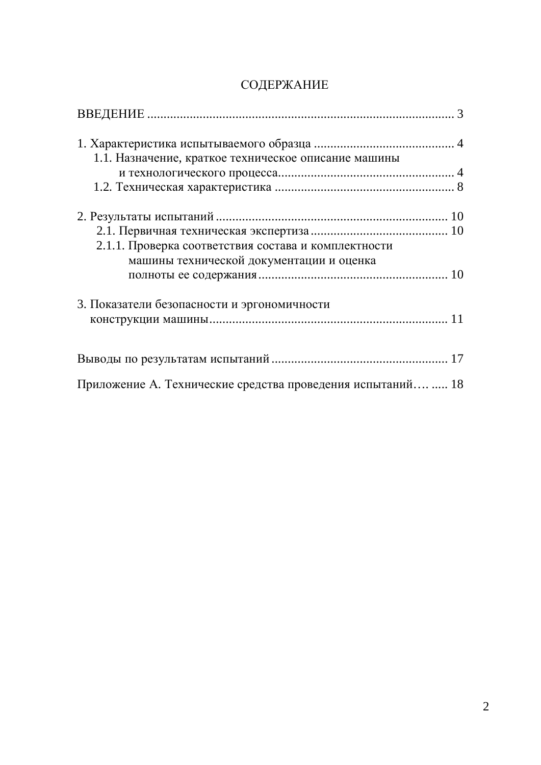## СОДЕРЖАНИЕ

| 1.1. Назначение, краткое техническое описание машины        |
|-------------------------------------------------------------|
|                                                             |
|                                                             |
|                                                             |
|                                                             |
| 2.1.1. Проверка соответствия состава и комплектности        |
| машины технической документации и оценка                    |
|                                                             |
| 3. Показатели безопасности и эргономичности                 |
|                                                             |
|                                                             |
|                                                             |
| Приложение А. Технические средства проведения испытаний  18 |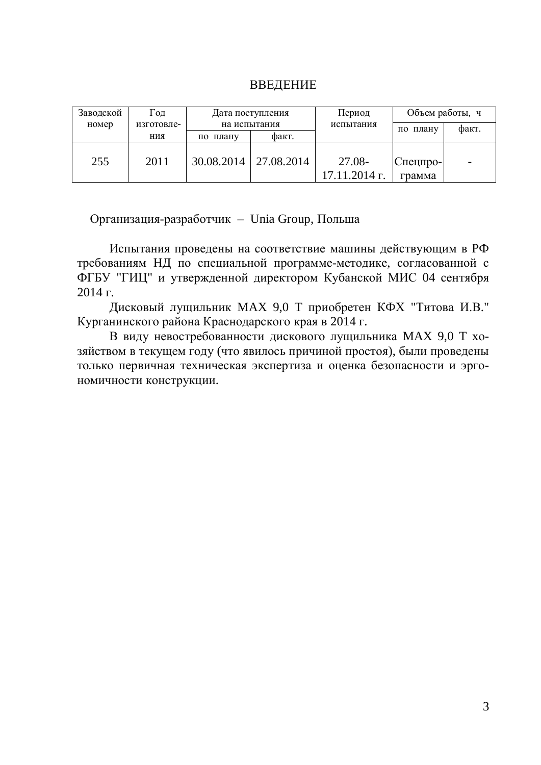| ВВЕДЕНИЕ |  |  |
|----------|--|--|
|          |  |  |

| Заводской | $1$ `ОД    |            | Дата поступления | Период                    | Объем работы, ч            |       |
|-----------|------------|------------|------------------|---------------------------|----------------------------|-------|
| номер     | изготовле- |            | на испытания     | испытания                 | плану<br>по                | факт. |
|           | ния        | по плану   | факт.            |                           |                            |       |
| 255       | 2011       | 30.08.2014 | 27.08.2014       | 27.08-<br>$17.11.2014$ r. | $ C$ пецпро- $ $<br>грамма |       |

Организация-разработчик – Unia Group, Польша

Испытания проведены на соответствие машины действующим в РФ требованиям НД по специальной программе-методике, согласованной с ФГБУ "ГИЦ" и утвержденной директором Кубанской МИС 04 сентября  $2014$   $\Gamma$ .

Дисковый лущильник МАХ 9,0 Т приобретен КФХ "Титова И.В." Курганинского района Краснодарского края в 2014 г.

В виду невостребованности дискового лущильника МАХ 9,0 Т хозяйством в текущем году (что явилось причиной простоя), были проведены только первичная техническая экспертиза и оценка безопасности и эргономичности конструкции.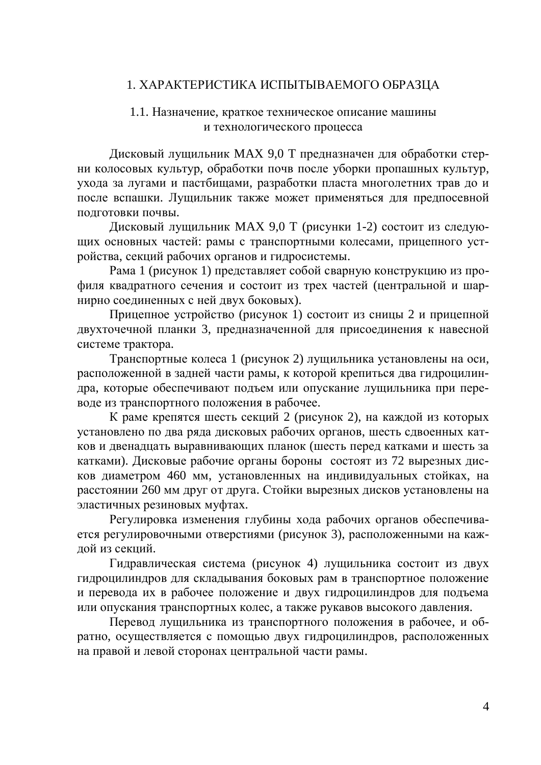#### 1. ХАРАКТЕРИСТИКА ИСПЫТЫВАЕМОГО ОБРАЗЦА

#### 1.1. Назначение, краткое техническое описание машины и технологического процесса

Дисковый лущильник МАХ 9,0 Т предназначен для обработки стерни колосовых культур, обработки почв после уборки пропашных культур, ухода за лугами и пастбищами, разработки пласта многолетних трав до и после вспашки. Лущильник также может применяться для предпосевной подготовки почвы.

Дисковый лущильник МАХ 9,0 Т (рисунки 1-2) состоит из следующих основных частей: рамы с транспортными колесами, прицепного устройства, секций рабочих органов и гидросистемы.

Рама 1 (рисунок 1) представляет собой сварную конструкцию из профиля квадратного сечения и состоит из трех частей (центральной и шарнирно соединенных с ней двух боковых).

Прицепное устройство (рисунок 1) состоит из сницы 2 и прицепной двухточечной планки 3, предназначенной для присоединения к навесной системе трактора.

Транспортные колеса 1 (рисунок 2) лущильника установлены на оси, расположенной в задней части рамы, к которой крепиться два гидроцилиндра, которые обеспечивают подъем или опускание лущильника при переводе из транспортного положения в рабочее.

К раме крепятся шесть секций 2 (рисунок 2), на каждой из которых установлено по два ряда дисковых рабочих органов, шесть сдвоенных катков и двенадцать выравнивающих планок (шесть перед катками и шесть за катками). Дисковые рабочие органы бороны состоят из 72 вырезных дисков диаметром 460 мм, установленных на индивидуальных стойках, на расстоянии 260 мм друг от друга. Стойки вырезных дисков установлены на эластичных резиновых муфтах.

Регулировка изменения глубины хода рабочих органов обеспечивается регулировочными отверстиями (рисунок 3), расположенными на каждой из секций.

Гидравлическая система (рисунок 4) лущильника состоит из двух гидроцилиндров для складывания боковых рам в транспортное положение и перевода их в рабочее положение и двух гидроцилиндров для подъема или опускания транспортных колес, а также рукавов высокого давления.

Перевод лущильника из транспортного положения в рабочее, и обратно, осуществляется с помощью двух гидроцилиндров, расположенных на правой и левой сторонах центральной части рамы.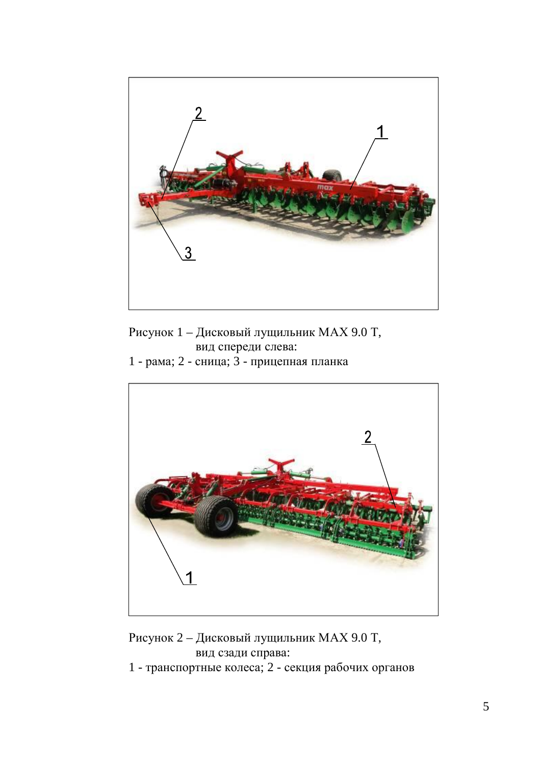

Рисунок 1 – Дисковый лущильник МАХ 9.0 Т, вид спереди слева:

1 - рама; 2 - сница; 3 - прицепная планка



Рисунок 2 – Дисковый лущильник МАХ 9.0 Т, вид сзади справа:

1 - транспортные колеса; 2 - секция рабочих органов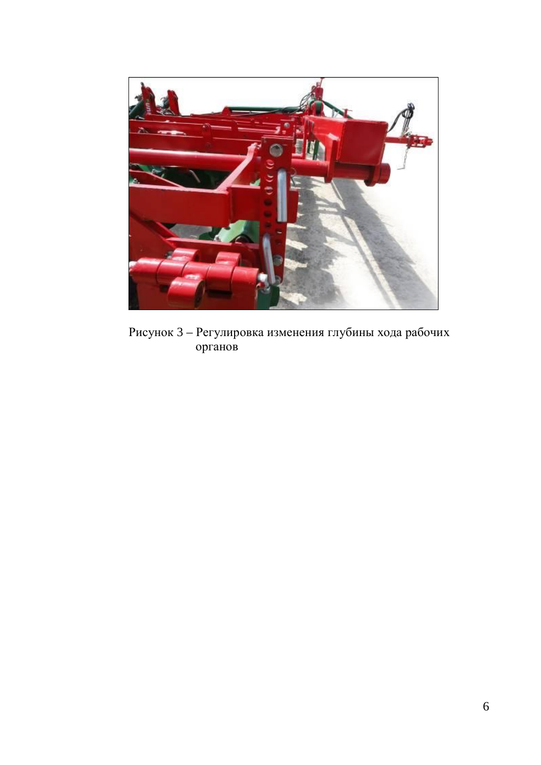

Рисунок 3 – Регулировка изменения глубины хода рабочих opганов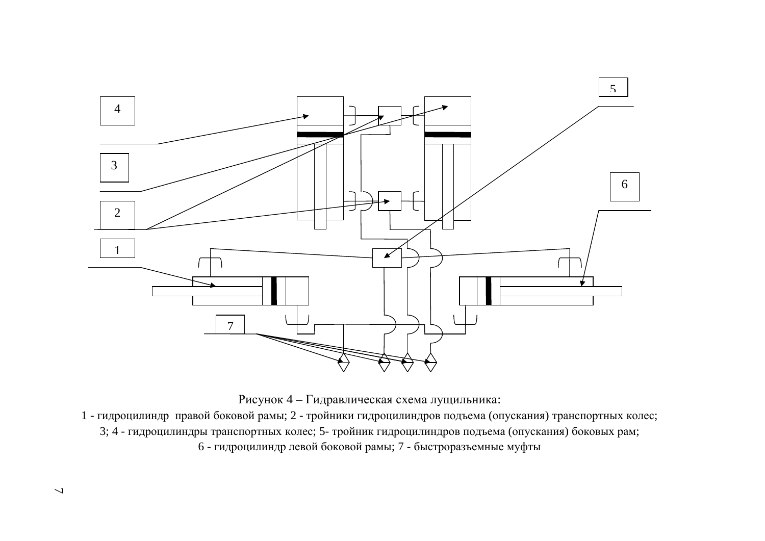

Рисунок 4 – Гидравлическая схема лущильника:

1 - гидроцилиндр правой боковой рамы; 2 - тройники гидроцилиндров подъема (опускания) транспортных колес; 3; 4 - гидроцилиндры транспортных колес; 5- тройник гидроцилиндров подъема (опускания) боковых рам; 6 - гидроцилиндр левой боковой рамы; 7 - быстроразъемные муфты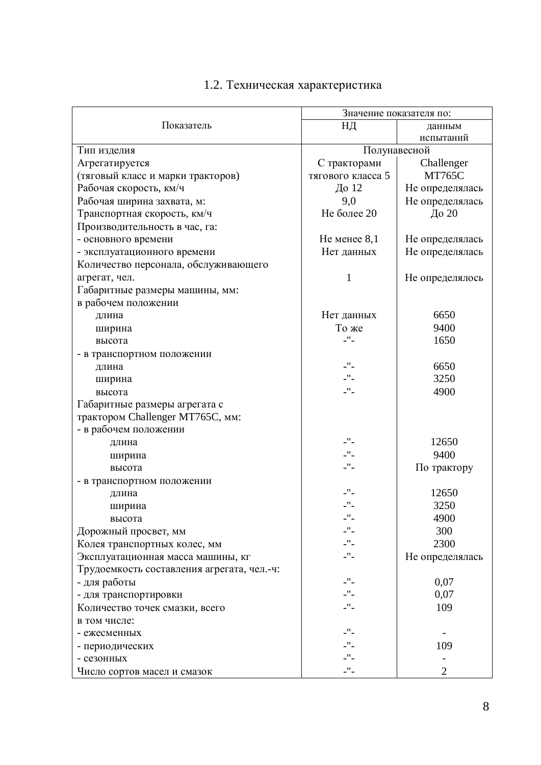|                                            | Значение показателя по:     |                 |
|--------------------------------------------|-----------------------------|-----------------|
| Показатель                                 | НД                          | данным          |
|                                            |                             | испытаний       |
| Тип изделия                                | Полунавесной                |                 |
| Агрегатируется                             | С тракторами                | Challenger      |
| (тяговый класс и марки тракторов)          | тягового класса 5           | <b>MT765C</b>   |
| Рабочая скорость, км/ч                     | До 12                       | Не определялась |
| Рабочая ширина захвата, м:                 | 9,0                         | Не определялась |
| Транспортная скорость, км/ч                | Не более 20                 | До 20           |
| Производительность в час, га:              |                             |                 |
| - основного времени                        | $He$ менее 8,1              | Не определялась |
| - эксплуатационного времени                | Нет данных                  | Не определялась |
| Количество персонала, обслуживающего       |                             |                 |
| агрегат, чел.                              | 1                           | Не определялось |
| Габаритные размеры машины, мм:             |                             |                 |
| в рабочем положении                        |                             |                 |
| длина                                      | Нет данных                  | 6650            |
|                                            | То же                       | 9400            |
| ширина<br>высота                           | -"-                         | 1650            |
|                                            |                             |                 |
| - в транспортном положении                 | $\mathbb{L}^{\mathbf{H}}$ – | 6650            |
| длина                                      | $\mathbb{L}^{\mathbf{H}}$   | 3250            |
| ширина                                     | $\mathbb{L}^{\mathbf{H}}$   |                 |
| высота                                     |                             | 4900            |
| Габаритные размеры агрегата с              |                             |                 |
| трактором Challenger MT765C, мм:           |                             |                 |
| - в рабочем положении                      |                             |                 |
| длина                                      | $\mathbf{L}^{\prime\prime}$ | 12650           |
| ширина                                     | $\mathbb{L}^{\mathbf{H}}$ – | 9400            |
| высота                                     | $\mathbb{L}^{\mathbf{H}}$ – | По трактору     |
| - в транспортном положении                 |                             |                 |
| длина                                      | -"-                         | 12650           |
| ширина                                     | $\mathsf{L}''$ –            | 3250            |
| высота                                     | -"-                         | 4900            |
| Дорожный просвет, мм                       | ."-                         | 300             |
| Колея транспортных колес, мм               | $-$ " $-$                   | 2300            |
| Эксплуатационная масса машины, кг          | $\mathbb{L}^{\mathbf{H}}$   | Не определялась |
| Трудоемкость составления агрегата, чел.-ч: |                             |                 |
| - для работы                               | $-$ "-                      | 0,07            |
| - для транспортировки                      | $\mathbb{L}^{\mathbf{H}}$ – | 0,07            |
| Количество точек смазки, всего             | $\mathbb{L}^{\mathbf{H}}$ – | 109             |
| в том числе:                               |                             |                 |
| - ежесменных                               | -"-                         |                 |
| - периодических                            | -"-                         | 109             |
| - сезонных                                 | $\mathsf{L}''$ –            |                 |
| Число сортов масел и смазок                | $\mathbb{L}^{\mathbf{H}}$ – | 2               |

## 1.2. Техническая характеристика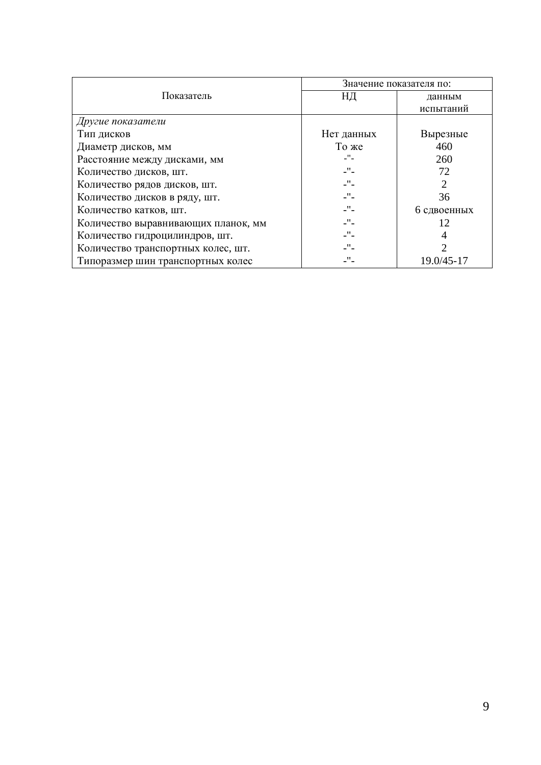|                                     |                             | Значение показателя по: |
|-------------------------------------|-----------------------------|-------------------------|
| Показатель                          | НД                          | данным                  |
|                                     |                             | испытаний               |
| Другие показатели                   |                             |                         |
| Тип дисков                          | Нет данных                  | Вырезные                |
| Диаметр дисков, мм                  | То же                       | 460                     |
| Расстояние между дисками, мм        | -"-                         | 260                     |
| Количество дисков, шт.              | $\mathbf{L}^{\prime\prime}$ | 72                      |
| Количество рядов дисков, шт.        | $\mathbf{L}^{\prime\prime}$ | 2                       |
| Количество дисков в ряду, шт.       | $\mathbf{L}^{\prime\prime}$ | 36                      |
| Количество катков, шт.              | $\mathbf{L}^{\prime\prime}$ | 6 сдвоенных             |
| Количество выравнивающих планок, мм | $\mathbf{L}^{\prime\prime}$ | 12                      |
| Количество гидроцилиндров, шт.      | $\mathbf{L}^{\prime\prime}$ | 4                       |
| Количество транспортных колес, шт.  | $\mathbf{H}_{\mathrm{c}}$   | っ                       |
| Типоразмер шин транспортных колес   |                             | 19.0/45-17              |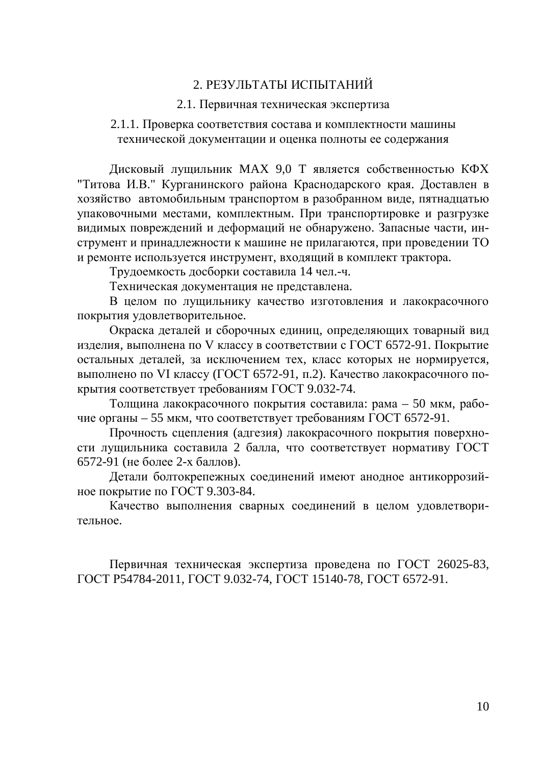### 2. РЕЗУЛЬТАТЫ ИСПЫТАНИЙ

#### 2.1. Первичная техническая экспертиза

#### 2.1.1. Проверка соответствия состава и комплектности машины технической документации и оценка полноты ее содержания

Дисковый лущильник МАХ 9,0 Т является собственностью КФХ "Титова И.В." Курганинского района Краснодарского края. Доставлен в хозяйство автомобильным транспортом в разобранном виде, пятнадцатью упаковочными местами, комплектным. При транспортировке и разгрузке видимых повреждений и деформаций не обнаружено. Запасные части, инструмент и принадлежности к машине не прилагаются, при проведении ТО и ремонте используется инструмент, входящий в комплект трактора.

Трудоемкость досборки составила 14 чел.-ч.

Техническая документация не представлена.

В целом по лущильнику качество изготовления и лакокрасочного покрытия удовлетворительное.

Окраска деталей и сборочных единиц, определяющих товарный вид изделия, выполнена по V классу в соответствии с ГОСТ 6572-91. Покрытие остальных деталей, за исключением тех, класс которых не нормируется, выполнено по VI классу (ГОСТ 6572-91, п.2). Качество лакокрасочного покрытия соответствует требованиям ГОСТ 9.032-74.

Толщина лакокрасочного покрытия составила: рама – 50 мкм, рабочие органы – 55 мкм, что соответствует требованиям ГОСТ 6572-91.

Прочность сцепления (адгезия) лакокрасочного покрытия поверхности лущильника составила 2 балла, что соответствует нормативу ГОСТ 6572-91 (не более 2-х баллов).

Детали болтокрепежных соединений имеют анодное антикоррозийное покрытие по ГОСТ 9.303-84.

Качество выполнения сварных соединений в целом удовлетворительное.

Первичная техническая экспертиза проведена по ГОСТ 26025-83, ГОСТ Р54784-2011, ГОСТ 9.032-74, ГОСТ 15140-78, ГОСТ 6572-91.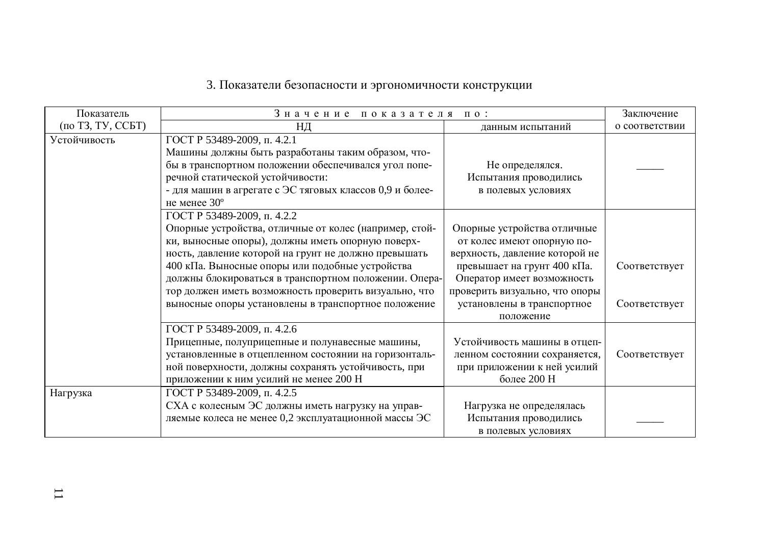# 3. Показатели безопасности и эргономичности конструкции

| Показатель        | Значение показателя по:                                                                                                                                                                                                                                                                                                                                                                                                        |                                                                                                                                                                                                                                       | Заключение                     |
|-------------------|--------------------------------------------------------------------------------------------------------------------------------------------------------------------------------------------------------------------------------------------------------------------------------------------------------------------------------------------------------------------------------------------------------------------------------|---------------------------------------------------------------------------------------------------------------------------------------------------------------------------------------------------------------------------------------|--------------------------------|
| (по ТЗ, ТУ, ССБТ) | НД                                                                                                                                                                                                                                                                                                                                                                                                                             | данным испытаний                                                                                                                                                                                                                      | о соответствии                 |
| Устойчивость      | ГОСТ Р 53489-2009, п. 4.2.1<br>Машины должны быть разработаны таким образом, что-<br>бы в транспортном положении обеспечивался угол попе-<br>речной статической устойчивости:<br>- для машин в агрегате с ЭС тяговых классов 0,9 и более-<br>не менее 30°                                                                                                                                                                      | Не определялся.<br>Испытания проводились<br>в полевых условиях                                                                                                                                                                        |                                |
|                   | ГОСТ Р 53489-2009, п. 4.2.2<br>Опорные устройства, отличные от колес (например, стой-<br>ки, выносные опоры), должны иметь опорную поверх-<br>ность, давление которой на грунт не должно превышать<br>400 кПа. Выносные опоры или подобные устройства<br>должны блокироваться в транспортном положении. Опера-<br>тор должен иметь возможность проверить визуально, что<br>выносные опоры установлены в транспортное положение | Опорные устройства отличные<br>от колес имеют опорную по-<br>верхность, давление которой не<br>превышает на грунт 400 кПа.<br>Оператор имеет возможность<br>проверить визуально, что опоры<br>установлены в транспортное<br>положение | Соответствует<br>Соответствует |
|                   | ГОСТ Р 53489-2009, п. 4.2.6<br>Прицепные, полуприцепные и полунавесные машины,<br>установленные в отцепленном состоянии на горизонталь-<br>ной поверхности, должны сохранять устойчивость, при<br>приложении к ним усилий не менее 200 Н                                                                                                                                                                                       | Устойчивость машины в отцеп-<br>ленном состоянии сохраняется,<br>при приложении к ней усилий<br>более 200 Н                                                                                                                           | Соответствует                  |
| Нагрузка          | ГОСТ Р 53489-2009, п. 4.2.5<br>СХА с колесным ЭС должны иметь нагрузку на управ-<br>ляемые колеса не менее 0,2 эксплуатационной массы ЭС                                                                                                                                                                                                                                                                                       | Нагрузка не определялась<br>Испытания проводились<br>в полевых условиях                                                                                                                                                               |                                |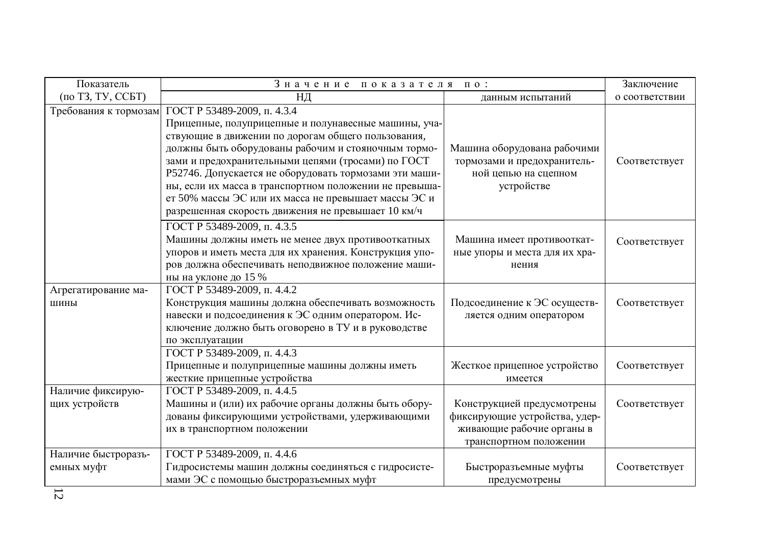| Показатель                         | Значение показателя                                                                                                                                                                                                                                                                                                                                                                                                                                                                      | $\Pi$ 0 :                                                                                                          | Заключение     |
|------------------------------------|------------------------------------------------------------------------------------------------------------------------------------------------------------------------------------------------------------------------------------------------------------------------------------------------------------------------------------------------------------------------------------------------------------------------------------------------------------------------------------------|--------------------------------------------------------------------------------------------------------------------|----------------|
| (по ТЗ, ТУ, ССБТ)                  | НД                                                                                                                                                                                                                                                                                                                                                                                                                                                                                       | данным испытаний                                                                                                   | о соответствии |
| Требования к тормозам              | ТОСТ Р 53489-2009, п. 4.3.4<br>Прицепные, полуприцепные и полунавесные машины, уча-<br>ствующие в движении по дорогам общего пользования,<br>должны быть оборудованы рабочим и стояночным тормо-<br>зами и предохранительными цепями (тросами) по ГОСТ<br>Р52746. Допускается не оборудовать тормозами эти маши-<br>ны, если их масса в транспортном положении не превыша-<br>ет 50% массы ЭС или их масса не превышает массы ЭС и<br>разрешенная скорость движения не превышает 10 км/ч | Машина оборудована рабочими<br>тормозами и предохранитель-<br>ной цепью на сцепном<br>устройстве                   | Соответствует  |
|                                    | ГОСТ Р 53489-2009, п. 4.3.5<br>Машины должны иметь не менее двух противооткатных<br>упоров и иметь места для их хранения. Конструкция упо-<br>ров должна обеспечивать неподвижное положение маши-<br>ны на уклоне до 15 %                                                                                                                                                                                                                                                                | Машина имеет противооткат-<br>ные упоры и места для их хра-<br>нения                                               | Соответствует  |
| Агрегатирование ма-<br>ШИНЫ        | ГОСТ Р 53489-2009, п. 4.4.2<br>Конструкция машины должна обеспечивать возможность<br>навески и подсоединения к ЭС одним оператором. Ис-<br>ключение должно быть оговорено в ТУ и в руководстве<br>по эксплуатации                                                                                                                                                                                                                                                                        | Подсоединение к ЭС осуществ-<br>ляется одним оператором                                                            | Соответствует  |
|                                    | ГОСТ Р 53489-2009, п. 4.4.3<br>Прицепные и полуприцепные машины должны иметь<br>жесткие прицепные устройства                                                                                                                                                                                                                                                                                                                                                                             | Жесткое прицепное устройство<br>имеется                                                                            | Соответствует  |
| Наличие фиксирую-<br>щих устройств | ГОСТ Р 53489-2009, п. 4.4.5<br>Машины и (или) их рабочие органы должны быть обору-<br>дованы фиксирующими устройствами, удерживающими<br>их в транспортном положении                                                                                                                                                                                                                                                                                                                     | Конструкцией предусмотрены<br>фиксирующие устройства, удер-<br>живающие рабочие органы в<br>транспортном положении | Соответствует  |
| Наличие быстроразъ-<br>емных муфт  | ГОСТ Р 53489-2009, п. 4.4.6<br>Гидросистемы машин должны соединяться с гидросисте-<br>мами ЭС с помощью быстроразъемных муфт                                                                                                                                                                                                                                                                                                                                                             | Быстроразъемные муфты<br>предусмотрены                                                                             | Соответствует  |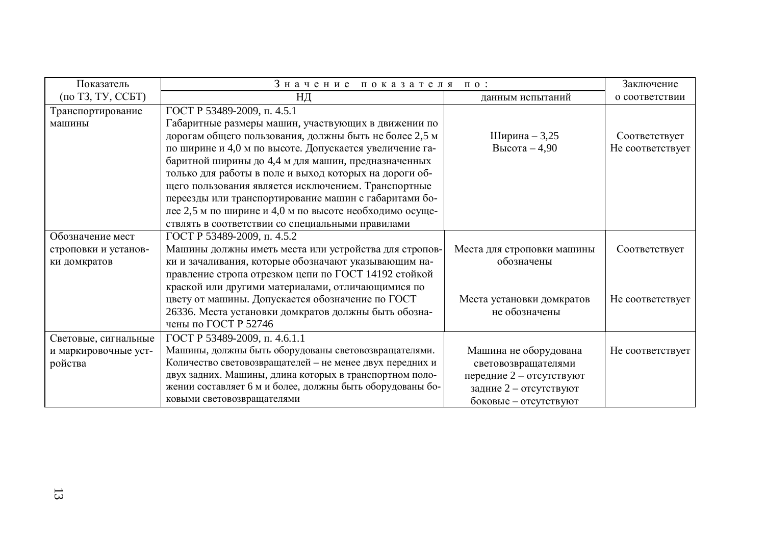| Показатель           | Значение показателя по:                                   |                            | Заключение       |
|----------------------|-----------------------------------------------------------|----------------------------|------------------|
| (по ТЗ, ТУ, ССБТ)    | НД                                                        | данным испытаний           | о соответствии   |
| Транспортирование    | ГОСТ Р 53489-2009, п. 4.5.1                               |                            |                  |
| машины               | Габаритные размеры машин, участвующих в движении по       |                            |                  |
|                      | дорогам общего пользования, должны быть не более 2,5 м    | Ширина - 3,25              | Соответствует    |
|                      | по ширине и 4,0 м по высоте. Допускается увеличение га-   | Высота $-4,90$             | Не соответствует |
|                      | баритной ширины до 4,4 м для машин, предназначенных       |                            |                  |
|                      | только для работы в поле и выход которых на дороги об-    |                            |                  |
|                      | щего пользования является исключением. Транспортные       |                            |                  |
|                      | переезды или транспортирование машин с габаритами бо-     |                            |                  |
|                      | лее 2,5 м по ширине и 4,0 м по высоте необходимо осуще-   |                            |                  |
|                      | ствлять в соответствии со специальными правилами          |                            |                  |
| Обозначение мест     | ГОСТ Р 53489-2009, п. 4.5.2                               |                            |                  |
| строповки и установ- | Машины должны иметь места или устройства для стропов-     | Места для строповки машины | Соответствует    |
| ки домкратов         | ки и зачаливания, которые обозначают указывающим на-      | обозначены                 |                  |
|                      | правление стропа отрезком цепи по ГОСТ 14192 стойкой      |                            |                  |
|                      | краской или другими материалами, отличающимися по         |                            |                  |
|                      | цвету от машины. Допускается обозначение по ГОСТ          | Места установки домкратов  | Не соответствует |
|                      | 26336. Места установки домкратов должны быть обозна-      | не обозначены              |                  |
|                      | чены по ГОСТ Р 52746                                      |                            |                  |
| Световые, сигнальные | ГОСТ Р 53489-2009, п. 4.6.1.1                             |                            |                  |
| и маркировочные уст- | Машины, должны быть оборудованы световозвращателями.      | Машина не оборудована      | Не соответствует |
| ройства              | Количество световозвращателей - не менее двух передних и  | световозвращателями        |                  |
|                      | двух задних. Машины, длина которых в транспортном поло-   | передние 2 - отсутствуют   |                  |
|                      | жении составляет 6 м и более, должны быть оборудованы бо- | задние 2 - отсутствуют     |                  |
|                      | ковыми световозвращателями                                | боковые - отсутствуют      |                  |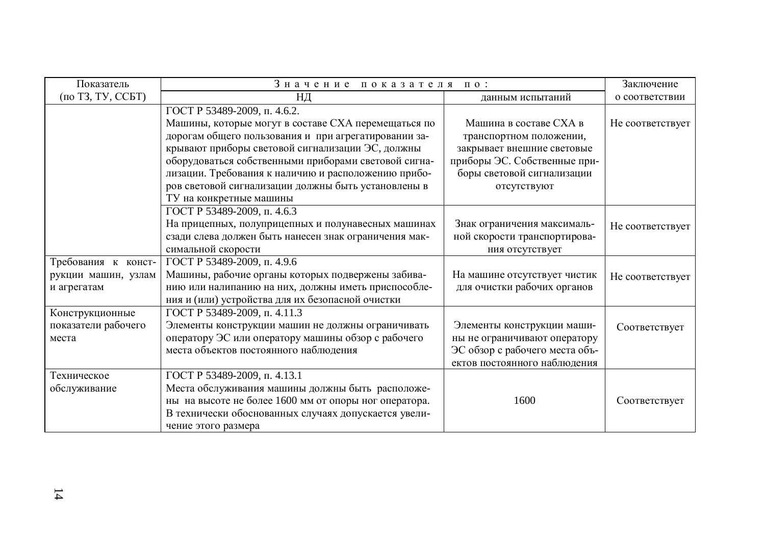| Показатель          | Значение показателя                                   | $\Pi$ 0 :                      | Заключение       |
|---------------------|-------------------------------------------------------|--------------------------------|------------------|
| (по ТЗ, ТУ, ССБТ)   | НД                                                    | данным испытаний               | о соответствии   |
|                     | ГОСТ Р 53489-2009, п. 4.6.2.                          |                                |                  |
|                     | Машины, которые могут в составе СХА перемещаться по   | Машина в составе СХА в         | Не соответствует |
|                     | дорогам общего пользования и при агрегатировании за-  | транспортном положении,        |                  |
|                     | крывают приборы световой сигнализации ЭС, должны      | закрывает внешние световые     |                  |
|                     | оборудоваться собственными приборами световой сигна-  | приборы ЭС. Собственные при-   |                  |
|                     | лизации. Требования к наличию и расположению прибо-   | боры световой сигнализации     |                  |
|                     | ров световой сигнализации должны быть установлены в   | отсутствуют                    |                  |
|                     | ТУ на конкретные машины                               |                                |                  |
|                     | ГОСТ Р 53489-2009, п. 4.6.3                           |                                |                  |
|                     | На прицепных, полуприцепных и полунавесных машинах    | Знак ограничения максималь-    | Не соответствует |
|                     | сзади слева должен быть нанесен знак ограничения мак- | ной скорости транспортирова-   |                  |
|                     | симальной скорости                                    | ния отсутствует                |                  |
| Требования к конст- | ГОСТ Р 53489-2009, п. 4.9.6                           |                                |                  |
| рукции машин, узлам | Машины, рабочие органы которых подвержены забива-     | На машине отсутствует чистик   | Не соответствует |
| и агрегатам         | нию или налипанию на них, должны иметь приспособле-   | для очистки рабочих органов    |                  |
|                     | ния и (или) устройства для их безопасной очистки      |                                |                  |
| Конструкционные     | ГОСТ Р 53489-2009, п. 4.11.3                          |                                |                  |
| показатели рабочего | Элементы конструкции машин не должны ограничивать     | Элементы конструкции маши-     | Соответствует    |
| места               | оператору ЭС или оператору машины обзор с рабочего    | ны не ограничивают оператору   |                  |
|                     | места объектов постоянного наблюдения                 | ЭС обзор с рабочего места объ- |                  |
|                     |                                                       | ектов постоянного наблюдения   |                  |
| Техническое         | ГОСТ Р 53489-2009, п. 4.13.1                          |                                |                  |
| обслуживание        | Места обслуживания машины должны быть расположе-      |                                |                  |
|                     | ны на высоте не более 1600 мм от опоры ног оператора. | 1600                           | Соответствует    |
|                     | В технически обоснованных случаях допускается увели-  |                                |                  |
|                     | чение этого размера                                   |                                |                  |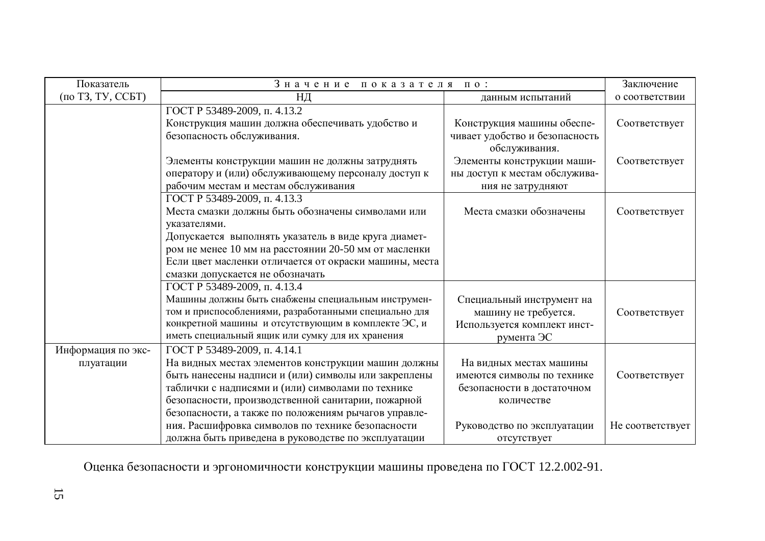| Показатель         | Значение показателя по:                                                                                      | Заключение                     |                  |
|--------------------|--------------------------------------------------------------------------------------------------------------|--------------------------------|------------------|
| (по ТЗ, ТУ, ССБТ)  | ΗД                                                                                                           | данным испытаний               | о соответствии   |
|                    | ГОСТ Р 53489-2009, п. 4.13.2                                                                                 |                                |                  |
|                    | Конструкция машин должна обеспечивать удобство и                                                             | Конструкция машины обеспе-     | Соответствует    |
|                    | безопасность обслуживания.                                                                                   | чивает удобство и безопасность |                  |
|                    |                                                                                                              | обслуживания.                  |                  |
|                    | Элементы конструкции машин не должны затруднять                                                              | Элементы конструкции маши-     | Соответствует    |
|                    | оператору и (или) обслуживающему персоналу доступ к                                                          | ны доступ к местам обслужива-  |                  |
|                    | рабочим местам и местам обслуживания                                                                         | ния не затрудняют              |                  |
|                    | ГОСТ Р 53489-2009, п. 4.13.3                                                                                 |                                |                  |
|                    | Места смазки должны быть обозначены символами или                                                            | Места смазки обозначены        | Соответствует    |
|                    | указателями.                                                                                                 |                                |                  |
|                    | Допускается выполнять указатель в виде круга диамет-                                                         |                                |                  |
|                    | ром не менее 10 мм на расстоянии 20-50 мм от масленки                                                        |                                |                  |
|                    | Если цвет масленки отличается от окраски машины, места                                                       |                                |                  |
|                    | смазки допускается не обозначать                                                                             |                                |                  |
|                    | ГОСТ Р 53489-2009, п. 4.13.4                                                                                 |                                |                  |
|                    | Машины должны быть снабжены специальным инструмен-                                                           | Специальный инструмент на      |                  |
|                    | том и приспособлениями, разработанными специально для<br>конкретной машины и отсутствующим в комплекте ЭС, и | машину не требуется.           | Соответствует    |
|                    | иметь специальный ящик или сумку для их хранения                                                             | Используется комплект инст-    |                  |
|                    | ГОСТ Р 53489-2009, п. 4.14.1                                                                                 | румента ЭС                     |                  |
| Информация по экс- |                                                                                                              | На видных местах машины        |                  |
| плуатации          | На видных местах элементов конструкции машин должны<br>быть нанесены надписи и (или) символы или закреплены  | имеются символы по технике     | Соответствует    |
|                    | таблички с надписями и (или) символами по технике                                                            | безопасности в достаточном     |                  |
|                    | безопасности, производственной санитарии, пожарной                                                           | количестве                     |                  |
|                    | безопасности, а также по положениям рычагов управле-                                                         |                                |                  |
|                    | ния. Расшифровка символов по технике безопасности                                                            | Руководство по эксплуатации    | Не соответствует |
|                    | должна быть приведена в руководстве по эксплуатации                                                          | отсутствует                    |                  |

Оценка безопасности и эргономичности конструкции машины проведена по ГОСТ 12.2.002-91.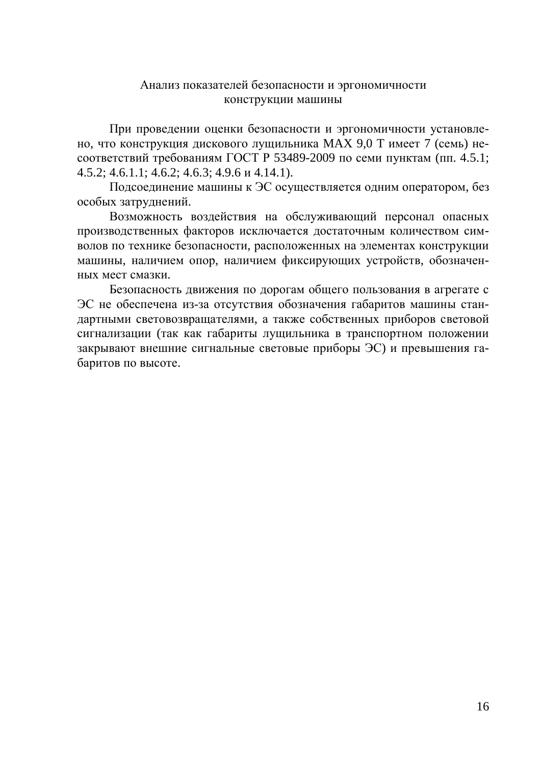### Анализ показателей безопасности и эргономичности конструкции машины

При проведении оценки безопасности и эргономичности установлено, что конструкция дискового лущильника МАХ 9,0 Т имеет 7 (семь) несоответствий требованиям ГОСТ Р 53489-2009 по семи пунктам (пп. 4.5.1;  $4.5.2$ ;  $4.6.1.1$ ;  $4.6.2$ ;  $4.6.3$ ;  $4.9.6 \text{ u } 4.14.1$ ).

Подсоединение машины к ЭС осуществляется одним оператором, без особых затруднений.

Возможность воздействия на обслуживающий персонал опасных производственных факторов исключается достаточным количеством символов по технике безопасности, расположенных на элементах конструкции машины, наличием опор, наличием фиксирующих устройств, обозначенных мест смазки.

Безопасность движения по дорогам общего пользования в агрегате с ЭС не обеспечена из-за отсутствия обозначения габаритов машины стандартными световозвращателями, а также собственных приборов световой сигнализации (так как габариты лущильника в транспортном положении закрывают внешние сигнальные световые приборы ЭС) и превышения габаритов по высоте.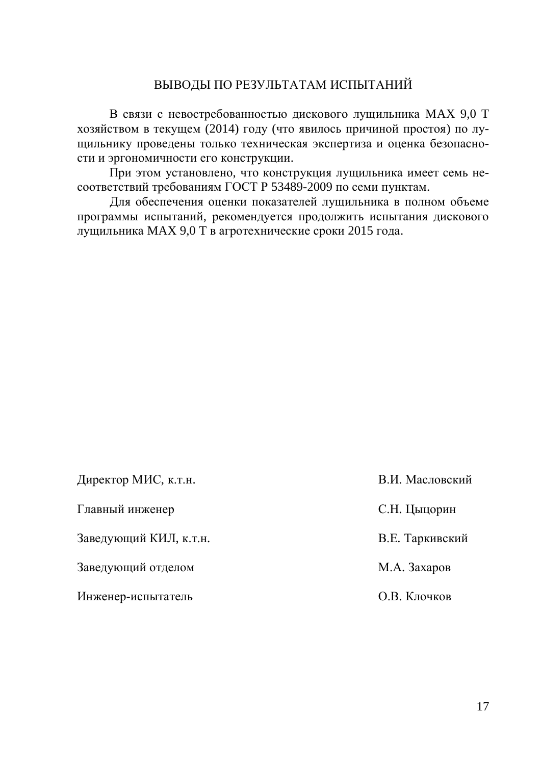### ВЫВОДЫ ПО РЕЗУЛЬТАТАМ ИСПЫТАНИЙ

В связи с невостребованностью дискового лущильника МАХ 9,0 Т хозяйством в текущем (2014) году (что явилось причиной простоя) по лущильнику проведены только техническая экспертиза и оценка безопасности и эргономичности его конструкции.

При этом установлено, что конструкция лущильника имеет семь несоответствий требованиям ГОСТ Р 53489-2009 по семи пунктам.

Для обеспечения оценки показателей лущильника в полном объеме программы испытаний, рекомендуется продолжить испытания дискового лущильника МАХ 9,0 Т в агротехнические сроки 2015 года.

| Директор МИС, к.т.н.   | В.И. Масловский |
|------------------------|-----------------|
| Главный инженер        | С.Н. Цыцорин    |
| Заведующий КИЛ, к.т.н. | В.Е. Таркивский |
| Заведующий отделом     | М.А. Захаров    |
| Инженер-испытатель     | О.В. Клочков    |